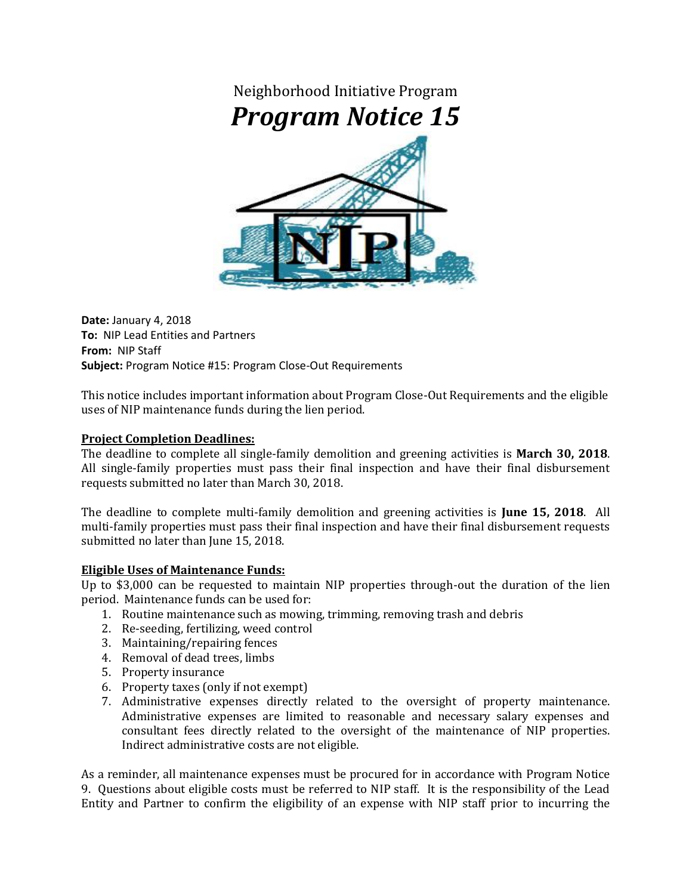

**Date:** January 4, 2018 **To:** NIP Lead Entities and Partners **From:** NIP Staff **Subject:** Program Notice #15: Program Close-Out Requirements

This notice includes important information about Program Close-Out Requirements and the eligible uses of NIP maintenance funds during the lien period.

## **Project Completion Deadlines:**

The deadline to complete all single-family demolition and greening activities is **March 30, 2018**. All single-family properties must pass their final inspection and have their final disbursement requests submitted no later than March 30, 2018.

The deadline to complete multi-family demolition and greening activities is **June 15, 2018**. All multi-family properties must pass their final inspection and have their final disbursement requests submitted no later than June 15, 2018.

## **Eligible Uses of Maintenance Funds:**

Up to \$3,000 can be requested to maintain NIP properties through-out the duration of the lien period. Maintenance funds can be used for:

- 1. Routine maintenance such as mowing, trimming, removing trash and debris
- 2. Re-seeding, fertilizing, weed control
- 3. Maintaining/repairing fences
- 4. Removal of dead trees, limbs
- 5. Property insurance
- 6. Property taxes (only if not exempt)
- 7. Administrative expenses directly related to the oversight of property maintenance. Administrative expenses are limited to reasonable and necessary salary expenses and consultant fees directly related to the oversight of the maintenance of NIP properties. Indirect administrative costs are not eligible.

As a reminder, all maintenance expenses must be procured for in accordance with Program Notice 9. Questions about eligible costs must be referred to NIP staff. It is the responsibility of the Lead Entity and Partner to confirm the eligibility of an expense with NIP staff prior to incurring the